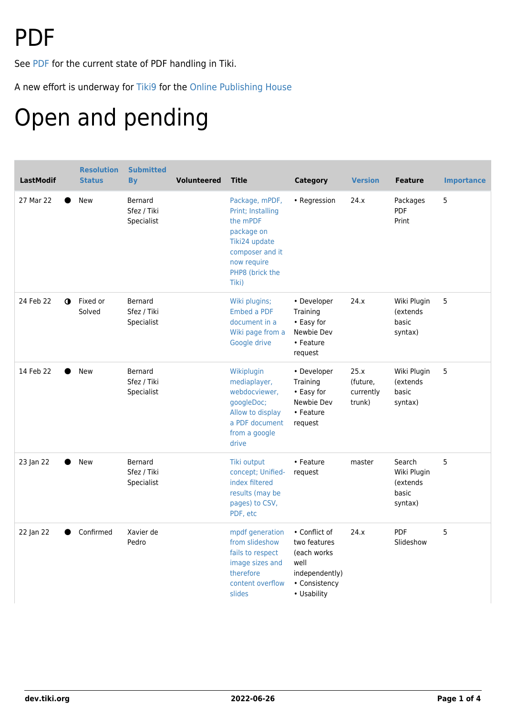# PDF

See [PDF](http://doc.tiki.org/PDF) for the current state of PDF handling in Tiki.

A new effort is underway for [Tiki9](https://dev.tiki.org/Tiki9) for the [Online Publishing House](https://dev.tiki.org/Online-Publishing-House)

# Open and pending

| <b>LastModif</b>         | <b>Resolution</b><br><b>Status</b> | <b>Submitted</b><br><b>B</b> <sub>V</sub>   | <b>Volunteered</b> | <b>Title</b>                                                                                                                                 | <b>Category</b>                                                                                        | <b>Version</b>                          | <b>Feature</b>                                        | <b>Importance</b> |
|--------------------------|------------------------------------|---------------------------------------------|--------------------|----------------------------------------------------------------------------------------------------------------------------------------------|--------------------------------------------------------------------------------------------------------|-----------------------------------------|-------------------------------------------------------|-------------------|
| 27 Mar 22                | <b>New</b>                         | <b>Bernard</b><br>Sfez / Tiki<br>Specialist |                    | Package, mPDF,<br>Print; Installing<br>the mPDF<br>package on<br>Tiki24 update<br>composer and it<br>now require<br>PHP8 (brick the<br>Tiki) | • Regression                                                                                           | 24.x                                    | Packages<br>PDF<br>Print                              | 5                 |
| 24 Feb 22<br>$\mathbf o$ | Fixed or<br>Solved                 | Bernard<br>Sfez / Tiki<br>Specialist        |                    | Wiki plugins;<br>Embed a PDF<br>document in a<br>Wiki page from a<br>Google drive                                                            | • Developer<br>Training<br>• Easy for<br>Newbie Dev<br>• Feature<br>request                            | 24.x                                    | Wiki Plugin<br>(extends<br>basic<br>syntax)           | 5                 |
| 14 Feb 22                | New                                | <b>Bernard</b><br>Sfez / Tiki<br>Specialist |                    | Wikiplugin<br>mediaplayer,<br>webdocviewer,<br>googleDoc;<br>Allow to display<br>a PDF document<br>from a google<br>drive                    | • Developer<br>Training<br>• Easy for<br>Newbie Dev<br>• Feature<br>request                            | 25.x<br>(future,<br>currently<br>trunk) | Wiki Plugin<br>(extends<br>basic<br>syntax)           | 5                 |
| 23 Jan 22                | New                                | Bernard<br>Sfez / Tiki<br>Specialist        |                    | Tiki output<br>concept; Unified-<br>index filtered<br>results (may be<br>pages) to CSV,<br>PDF, etc                                          | • Feature<br>request                                                                                   | master                                  | Search<br>Wiki Plugin<br>(extends<br>basic<br>syntax) | 5                 |
| 22 Jan 22                | Confirmed                          | Xavier de<br>Pedro                          |                    | mpdf generation<br>from slideshow<br>fails to respect<br>image sizes and<br>therefore<br>content overflow<br>slides                          | • Conflict of<br>two features<br>(each works<br>well<br>independently)<br>• Consistency<br>• Usability | 24.x                                    | <b>PDF</b><br>Slideshow                               | 5                 |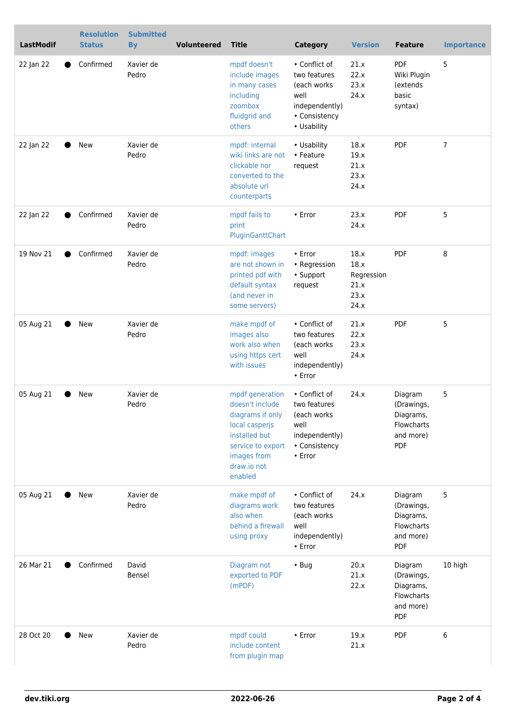| <b>LastModif</b>       | <b>Resolution</b><br><b>Status</b> | <b>Submitted</b><br><b>By</b> | Volunteered | <b>Title</b>                                                                                                                                            | <b>Category</b>                                                                                        | <b>Version</b>                                     | <b>Feature</b>                                                              | <b>Importance</b> |
|------------------------|------------------------------------|-------------------------------|-------------|---------------------------------------------------------------------------------------------------------------------------------------------------------|--------------------------------------------------------------------------------------------------------|----------------------------------------------------|-----------------------------------------------------------------------------|-------------------|
| 22 Jan 22              | Confirmed                          | Xavier de<br>Pedro            |             | mpdf doesn't<br>include images<br>in many cases<br>including<br>zoombox<br>fluidgrid and<br>others                                                      | • Conflict of<br>two features<br>(each works<br>well<br>independently)<br>• Consistency<br>• Usability | 21.x<br>22.x<br>23.x<br>24.x                       | PDF<br>Wiki Plugin<br>(extends<br>basic<br>syntax)                          | 5                 |
| 22 Jan 22              | New                                | Xavier de<br>Pedro            |             | mpdf: internal<br>wiki links are not<br>clickable nor<br>converted to the<br>absolute url<br>counterparts                                               | • Usability<br>• Feature<br>request                                                                    | 18.x<br>19.x<br>21.x<br>23.x<br>24.x               | PDF                                                                         | 7                 |
| 22 Jan 22              | Confirmed                          | Xavier de<br>Pedro            |             | mpdf fails to<br>print<br>PluginGanttChart                                                                                                              | • Error                                                                                                | 23.x<br>24.x                                       | PDF                                                                         | 5                 |
| 19 Nov 21<br>$\bullet$ | Confirmed                          | Xavier de<br>Pedro            |             | mpdf: images<br>are not shown in<br>printed pdf with<br>default syntax<br>(and never in<br>some servers)                                                | • Error<br>• Regression<br>• Support<br>request                                                        | 18.x<br>18.x<br>Regression<br>21.x<br>23.x<br>24.x | PDF                                                                         | 8                 |
| 05 Aug 21              | <b>New</b>                         | Xavier de<br>Pedro            |             | make mpdf of<br>images also<br>work also when<br>using https cert<br>with issues                                                                        | • Conflict of<br>two features<br>(each works<br>well<br>independently)<br>• Error                      | 21.x<br>22.x<br>23.x<br>24.x                       | PDF                                                                         | 5                 |
| 05 Aug 21              | <b>New</b>                         | Xavier de<br>Pedro            |             | mpdf generation<br>doesn't include<br>diagrams if only<br>local casperjs<br>installed but<br>service to export<br>images from<br>draw.io not<br>enabled | • Conflict of<br>two features<br>(each works<br>well<br>independently)<br>• Consistency<br>• Error     | 24.x                                               | Diagram<br>(Drawings,<br>Diagrams,<br>Flowcharts<br>and more)<br>PDF        | 5                 |
| 05 Aug 21              | New                                | Xavier de<br>Pedro            |             | make mpdf of<br>diagrams work<br>also when<br>behind a firewall<br>using proxy                                                                          | • Conflict of<br>two features<br>(each works<br>well<br>independently)<br>• Error                      | 24.x                                               | Diagram<br>(Drawings,<br>Diagrams,<br>Flowcharts<br>and more)<br><b>PDF</b> | 5                 |
| 26 Mar 21              | Confirmed                          | David<br>Bensel               |             | Diagram not<br>exported to PDF<br>(mPDF)                                                                                                                | $\cdot$ Bug                                                                                            | 20.x<br>21.x<br>22.x                               | Diagram<br>(Drawings,<br>Diagrams,<br>Flowcharts<br>and more)<br><b>PDF</b> | 10 high           |
| 28 Oct 20              | New                                | Xavier de<br>Pedro            |             | mpdf could<br>include content<br>from plugin map                                                                                                        | • Error                                                                                                | 19.x<br>21.x                                       | PDF                                                                         | 6                 |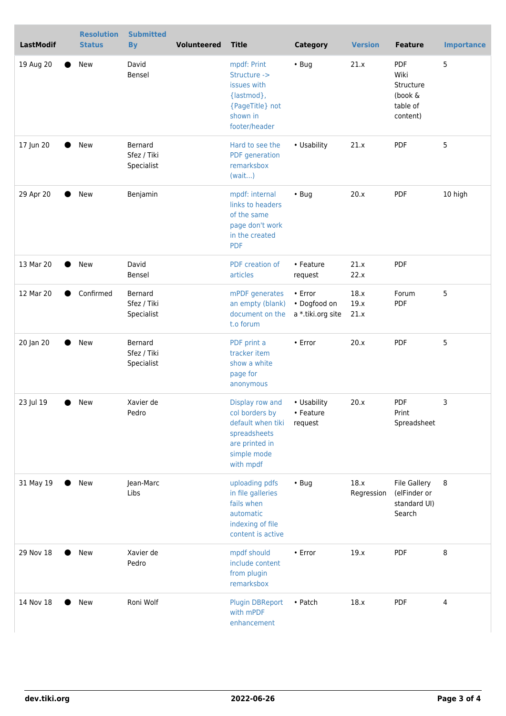| <b>LastModif</b> | <b>Resolution</b><br><b>Status</b> | <b>Submitted</b><br><b>By</b>        | <b>Volunteered</b> | <b>Title</b>                                                                                                         | <b>Category</b>                              | <b>Version</b>       | <b>Feature</b>                                                | <b>Importance</b> |
|------------------|------------------------------------|--------------------------------------|--------------------|----------------------------------------------------------------------------------------------------------------------|----------------------------------------------|----------------------|---------------------------------------------------------------|-------------------|
| 19 Aug 20        | New                                | David<br>Bensel                      |                    | mpdf: Print<br>Structure -><br>issues with<br>{lastmod},<br>{PageTitle} not<br>shown in<br>footer/header             | $\cdot$ Bug                                  | 21.x                 | PDF<br>Wiki<br>Structure<br>(book &<br>table of<br>content)   | 5                 |
| 17 Jun 20        | New                                | Bernard<br>Sfez / Tiki<br>Specialist |                    | Hard to see the<br>PDF generation<br>remarksbox<br>(wait)                                                            | • Usability                                  | 21.x                 | <b>PDF</b>                                                    | 5                 |
| 29 Apr 20        | <b>New</b>                         | Benjamin                             |                    | mpdf: internal<br>links to headers<br>of the same<br>page don't work<br>in the created<br><b>PDF</b>                 | $\cdot$ Bug                                  | 20.x                 | <b>PDF</b>                                                    | 10 high           |
| 13 Mar 20        | New                                | David<br>Bensel                      |                    | PDF creation of<br>articles                                                                                          | • Feature<br>request                         | 21.x<br>22.x         | PDF                                                           |                   |
| 12 Mar 20        | Confirmed                          | Bernard<br>Sfez / Tiki<br>Specialist |                    | mPDF generates<br>an empty (blank)<br>document on the<br>t.o forum                                                   | • Error<br>• Dogfood on<br>a *.tiki.org site | 18.x<br>19.x<br>21.x | Forum<br><b>PDF</b>                                           | 5                 |
| 20 Jan 20        | New                                | Bernard<br>Sfez / Tiki<br>Specialist |                    | PDF print a<br>tracker item<br>show a white<br>page for<br>anonymous                                                 | • Error                                      | 20.x                 | <b>PDF</b>                                                    | 5                 |
| 23 Jul 19        | New                                | Xavier de<br>Pedro                   |                    | Display row and<br>col borders by<br>default when tiki<br>spreadsheets<br>are printed in<br>simple mode<br>with mpdf | • Usability<br>• Feature<br>request          | 20.x                 | PDF<br>Print<br>Spreadsheet                                   | 3                 |
| 31 May 19        | <b>New</b>                         | Jean-Marc<br>Libs                    |                    | uploading pdfs<br>in file galleries<br>fails when<br>automatic<br>indexing of file<br>content is active              | $\cdot$ Bug                                  | 18.x<br>Regression   | <b>File Gallery</b><br>(elFinder or<br>standard UI)<br>Search | 8                 |
| 29 Nov 18        | New                                | Xavier de<br>Pedro                   |                    | mpdf should<br>include content<br>from plugin<br>remarksbox                                                          | • Error                                      | 19.x                 | <b>PDF</b>                                                    | 8                 |
| 14 Nov 18        | New                                | Roni Wolf                            |                    | <b>Plugin DBReport</b><br>with mPDF<br>enhancement                                                                   | • Patch                                      | 18.x                 | <b>PDF</b>                                                    | 4                 |